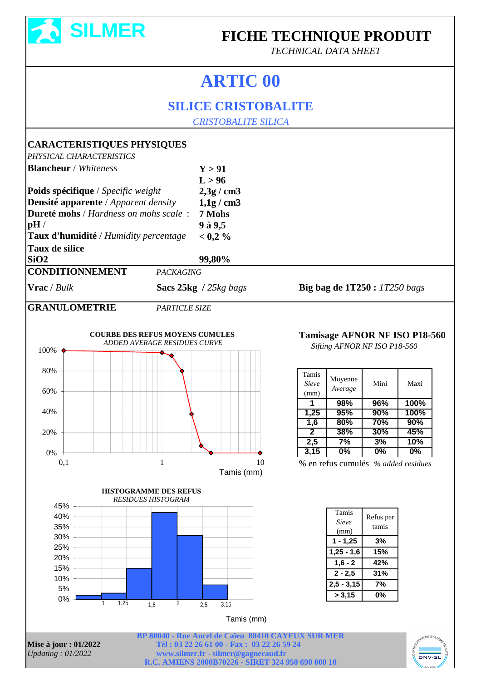

## **FICHE TECHNIQUE PRODUIT**

*TECHNICAL DATA SHEET*

## **ARTIC 00**

## **SILICE CRISTOBALITE**

 *CRISTOBALITE SILICA*

## **CARACTERISTIQUES PHYSIQUES**

*PHYSICAL CHARACTERISTICS*

| PHYSICAL CHARACTERISTICS                                                                                                    |                                                                               |                                                  |                                |                                      |            |                               |  |
|-----------------------------------------------------------------------------------------------------------------------------|-------------------------------------------------------------------------------|--------------------------------------------------|--------------------------------|--------------------------------------|------------|-------------------------------|--|
| <b>Blancheur</b> / Whiteness                                                                                                |                                                                               | Y > 91<br>L > 96                                 |                                |                                      |            |                               |  |
| Poids spécifique / Specific weight<br>Densité apparente / Apparent density<br>Dureté mohs / Hardness on mohs scale:<br>pH / |                                                                               | $2,3g$ / cm3<br>$1,1g$ / cm3<br>7 Mohs<br>9à 9,5 |                                |                                      |            |                               |  |
| Taux d'humidité / Humidity percentage                                                                                       |                                                                               | < 0.2 %                                          |                                |                                      |            |                               |  |
| <b>Taux de silice</b>                                                                                                       |                                                                               |                                                  |                                |                                      |            |                               |  |
| SiO2                                                                                                                        |                                                                               | 99,80%                                           |                                |                                      |            |                               |  |
| <b>CONDITIONNEMENT</b>                                                                                                      | <b>PACKAGING</b>                                                              |                                                  |                                |                                      |            |                               |  |
| Vrac / Bulk                                                                                                                 |                                                                               | Sacs 25kg / 25kg bags                            |                                | <b>Big bag de 1T250 :</b> 1T250 bags |            |                               |  |
| <b>GRANULOMETRIE</b>                                                                                                        | <b>PARTICLE SIZE</b>                                                          |                                                  |                                |                                      |            |                               |  |
| 100%<br>80%                                                                                                                 | <b>COURBE DES REFUS MOYENS CUMULES</b><br><b>ADDED AVERAGE RESIDUES CURVE</b> |                                                  | Tamis                          | Sifting AFNOR NF ISO P18-560         |            | Tamisage AFNOR NF ISO P18-560 |  |
| 60%                                                                                                                         |                                                                               |                                                  | Sieve<br>(mm)                  | Moyenne<br>Average                   | Mini       | Maxi                          |  |
|                                                                                                                             |                                                                               |                                                  | 1                              | 98%                                  | 96%        | 100%                          |  |
| 40%                                                                                                                         |                                                                               |                                                  | 1,25                           | 95%                                  | 90%        | 100%                          |  |
|                                                                                                                             |                                                                               |                                                  | 1,6<br>$\overline{\mathbf{2}}$ | 80%<br>38%                           | 70%<br>30% | 90%<br>45%                    |  |
| 20%                                                                                                                         |                                                                               |                                                  | 2,5                            | 7%                                   | 3%         | 10%                           |  |
| $0\%$                                                                                                                       |                                                                               |                                                  | 3,15                           | 0%                                   | 0%         | 0%                            |  |
| 0,1                                                                                                                         | $\mathbf{1}$                                                                  | 10<br>Tamis (mm)                                 |                                | % en refus cumulés % added residues  |            |                               |  |
|                                                                                                                             | <b>HISTOGRAMME DES REFUS</b><br><b>RESIDUES HISTOGRAM</b>                     |                                                  |                                |                                      |            |                               |  |
| 45%                                                                                                                         |                                                                               |                                                  |                                |                                      |            |                               |  |
| 40%                                                                                                                         |                                                                               |                                                  |                                | Tamis                                | Refus par  |                               |  |
| 35%                                                                                                                         |                                                                               |                                                  |                                | Sieve<br>(mm)                        | tamis      |                               |  |
| 30%                                                                                                                         |                                                                               |                                                  |                                | $1 - 1,25$                           | 3%         |                               |  |
| 25%                                                                                                                         |                                                                               |                                                  |                                | $1,25 - 1,6$                         | 15%        |                               |  |
| 20%                                                                                                                         |                                                                               |                                                  |                                | $1,6 - 2$                            | 42%        |                               |  |
| 15%                                                                                                                         |                                                                               |                                                  |                                |                                      |            |                               |  |

| Tamis<br>Sieve<br>(mm) | Refus par<br>tamis |  |  |
|------------------------|--------------------|--|--|
| $1 - 1,25$             | 3%                 |  |  |
| $1,25 - 1,6$           | 15%                |  |  |
| $1.6 - 2$              | 42%                |  |  |
| 2 - 2.5                | 31%                |  |  |
| $2,5 - 3,15$           | 7%                 |  |  |
| > 3,15                 | 0%                 |  |  |

Tamis (mm)

0% 5% 10%

**Mise à jour : 01/2022 Tél : 03 22 26 61 00 - Fax : 03 22 26 59 24**<br>*Updating : 01/2022* **WWW.silmer.fr** - silmer@gagneraud.fr *Updating : 01/2022* **[www.silmer.fr](http://www.silmer.fr) - [silmer@gagneraud.fr](mailto:silmer@gagneraud.fr) R.C. AMIENS 2000B70226 - SIRET 324 950 690 000 10 BP 80040 - Rue Ancel de Caïeu 80410 CAYEUX SUR MER**

1 1,25 1,6 2 2,5 3,15